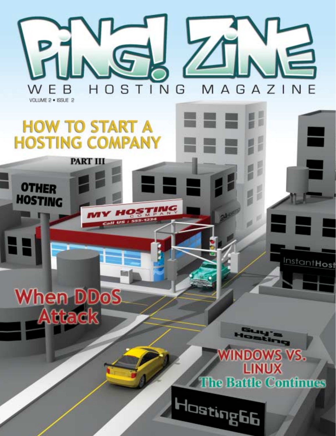